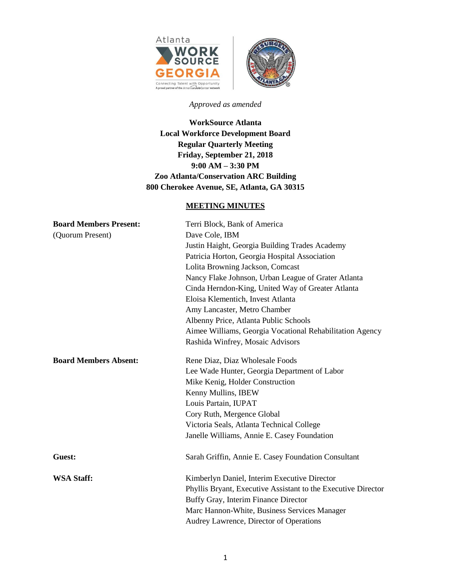



## *Approved as amended*

**WorkSource Atlanta Local Workforce Development Board Regular Quarterly Meeting Friday, September 21, 2018 9:00 AM – 3:30 PM Zoo Atlanta/Conservation ARC Building 800 Cherokee Avenue, SE, Atlanta, GA 30315**

# **MEETING MINUTES**

| <b>Board Members Present:</b> | Terri Block, Bank of America                                  |
|-------------------------------|---------------------------------------------------------------|
| (Quorum Present)              | Dave Cole, IBM                                                |
|                               | Justin Haight, Georgia Building Trades Academy                |
|                               | Patricia Horton, Georgia Hospital Association                 |
|                               | Lolita Browning Jackson, Comcast                              |
|                               | Nancy Flake Johnson, Urban League of Grater Atlanta           |
|                               | Cinda Herndon-King, United Way of Greater Atlanta             |
|                               | Eloisa Klementich, Invest Atlanta                             |
|                               | Amy Lancaster, Metro Chamber                                  |
|                               | Albenny Price, Atlanta Public Schools                         |
|                               | Aimee Williams, Georgia Vocational Rehabilitation Agency      |
|                               | Rashida Winfrey, Mosaic Advisors                              |
| <b>Board Members Absent:</b>  | Rene Diaz, Diaz Wholesale Foods                               |
|                               | Lee Wade Hunter, Georgia Department of Labor                  |
|                               | Mike Kenig, Holder Construction                               |
|                               | Kenny Mullins, IBEW                                           |
|                               | Louis Partain, IUPAT                                          |
|                               | Cory Ruth, Mergence Global                                    |
|                               | Victoria Seals, Atlanta Technical College                     |
|                               | Janelle Williams, Annie E. Casey Foundation                   |
| Guest:                        | Sarah Griffin, Annie E. Casey Foundation Consultant           |
| <b>WSA Staff:</b>             | Kimberlyn Daniel, Interim Executive Director                  |
|                               | Phyllis Bryant, Executive Assistant to the Executive Director |
|                               | Buffy Gray, Interim Finance Director                          |
|                               | Marc Hannon-White, Business Services Manager                  |
|                               | Audrey Lawrence, Director of Operations                       |